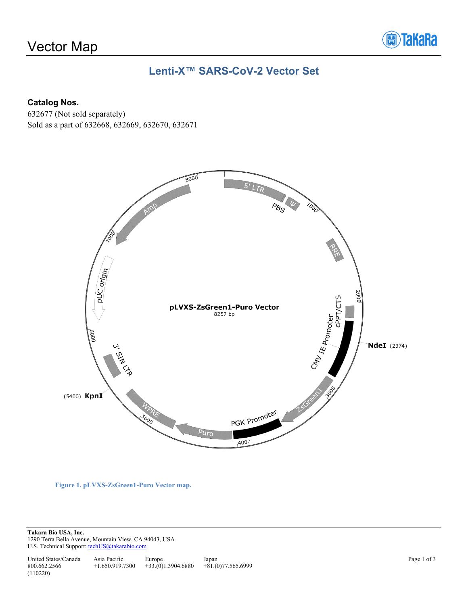# Vector Map



## **Lenti-X™ SARS-CoV-2 Vector Set**

#### **Catalog Nos.**

632677 (Not sold separately) Sold as a part of 632668, 632669, 632670, 632671



**Figure 1. pLVXS-ZsGreen1-Puro Vector map.**

**Takara Bio USA, Inc.**  1290 Terra Bella Avenue, Mountain View, CA 94043, USA U.S. Technical Support[: techUS@takarabio.com](mailto:techUS@takarabio.com)

United States/Canada 800.662.2566 Asia Pacific +1.650.919.7300 Europe +33.(0)1.3904.6880 Japan +81.(0)77.565.6999 (110220)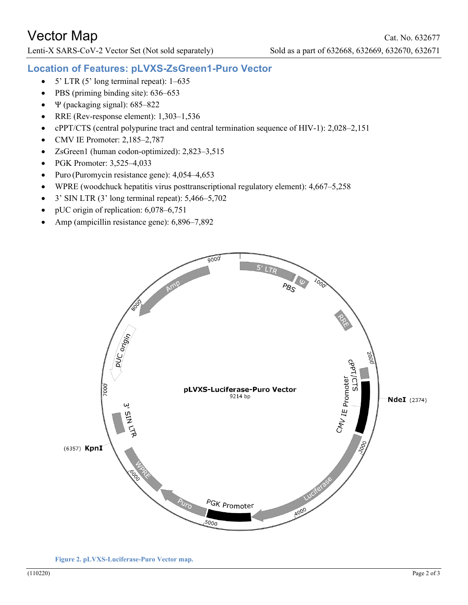Lenti-X SARS-CoV-2 Vector Set (Not sold separately) Sold as a part of 632668, 632669, 632670, 632671

### **Location of Features: pLVXS-ZsGreen1-Puro Vector**

- 5' LTR (5' long terminal repeat): 1–635
- PBS (priming binding site): 636–653
- Ψ (packaging signal): 685–822
- RRE (Rev-response element): 1,303–1,536
- cPPT/CTS (central polypurine tract and central termination sequence of HIV-1): 2,028–2,151
- CMV IE Promoter: 2,185–2,787
- ZsGreen1 (human codon-optimized): 2,823–3,515
- PGK Promoter: 3,525–4,033
- Puro (Puromycin resistance gene): 4,054–4,653
- WPRE (woodchuck hepatitis virus posttranscriptional regulatory element): 4,667–5,258
- $3'$  SIN LTR (3' long terminal repeat):  $5,466-5,702$
- pUC origin of replication: 6,078–6,751
- Amp (ampicillin resistance gene): 6,896–7,892